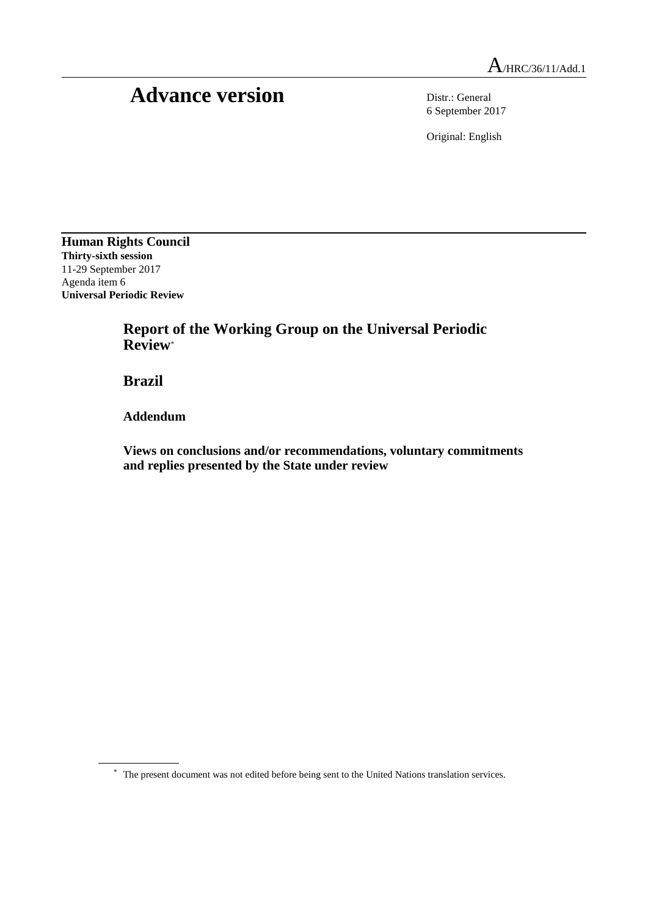## Advance version Distr.: General

6 September 2017

Original: English

**Human Rights Council Thirty-sixth session** 11-29 September 2017 Agenda item 6 **Universal Periodic Review**

> **Report of the Working Group on the Universal Periodic Review**\*

**Brazil**

**Addendum**

**Views on conclusions and/or recommendations, voluntary commitments and replies presented by the State under review**

<sup>\*</sup> The present document was not edited before being sent to the United Nations translation services.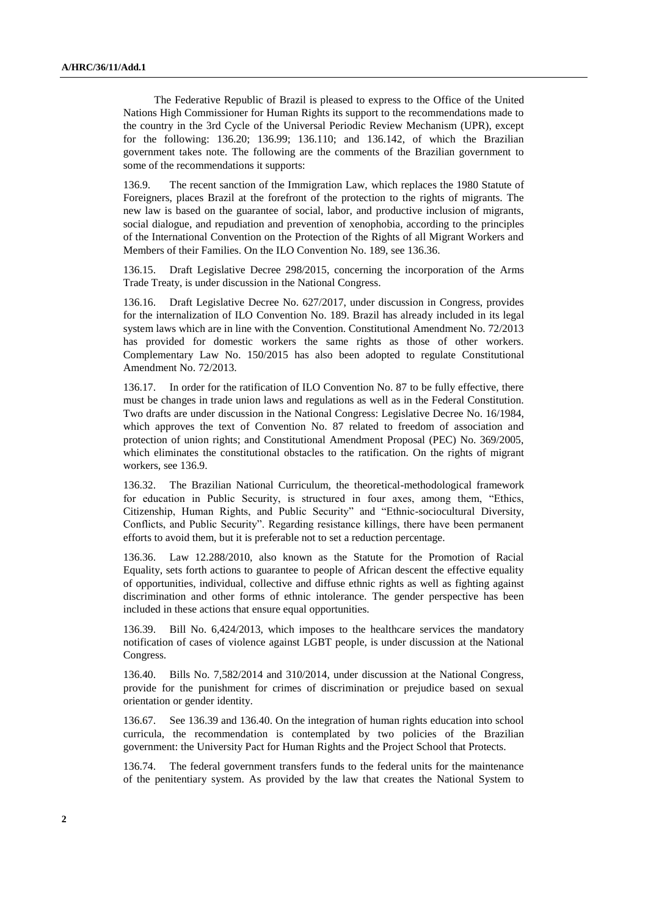The Federative Republic of Brazil is pleased to express to the Office of the United Nations High Commissioner for Human Rights its support to the recommendations made to the country in the 3rd Cycle of the Universal Periodic Review Mechanism (UPR), except for the following: 136.20; 136.99; 136.110; and 136.142, of which the Brazilian government takes note. The following are the comments of the Brazilian government to some of the recommendations it supports:

136.9. The recent sanction of the Immigration Law, which replaces the 1980 Statute of Foreigners, places Brazil at the forefront of the protection to the rights of migrants. The new law is based on the guarantee of social, labor, and productive inclusion of migrants, social dialogue, and repudiation and prevention of xenophobia, according to the principles of the International Convention on the Protection of the Rights of all Migrant Workers and Members of their Families. On the ILO Convention No. 189, see 136.36.

136.15. Draft Legislative Decree 298/2015, concerning the incorporation of the Arms Trade Treaty, is under discussion in the National Congress.

136.16. Draft Legislative Decree No. 627/2017, under discussion in Congress, provides for the internalization of ILO Convention No. 189. Brazil has already included in its legal system laws which are in line with the Convention. Constitutional Amendment No. 72/2013 has provided for domestic workers the same rights as those of other workers. Complementary Law No. 150/2015 has also been adopted to regulate Constitutional Amendment No. 72/2013.

136.17. In order for the ratification of ILO Convention No. 87 to be fully effective, there must be changes in trade union laws and regulations as well as in the Federal Constitution. Two drafts are under discussion in the National Congress: Legislative Decree No. 16/1984, which approves the text of Convention No. 87 related to freedom of association and protection of union rights; and Constitutional Amendment Proposal (PEC) No. 369/2005, which eliminates the constitutional obstacles to the ratification. On the rights of migrant workers, see 136.9.

136.32. The Brazilian National Curriculum, the theoretical-methodological framework for education in Public Security, is structured in four axes, among them, "Ethics, Citizenship, Human Rights, and Public Security" and "Ethnic-sociocultural Diversity, Conflicts, and Public Security". Regarding resistance killings, there have been permanent efforts to avoid them, but it is preferable not to set a reduction percentage.

136.36. Law 12.288/2010, also known as the Statute for the Promotion of Racial Equality, sets forth actions to guarantee to people of African descent the effective equality of opportunities, individual, collective and diffuse ethnic rights as well as fighting against discrimination and other forms of ethnic intolerance. The gender perspective has been included in these actions that ensure equal opportunities.

136.39. Bill No. 6,424/2013, which imposes to the healthcare services the mandatory notification of cases of violence against LGBT people, is under discussion at the National Congress.

136.40. Bills No. 7,582/2014 and 310/2014, under discussion at the National Congress, provide for the punishment for crimes of discrimination or prejudice based on sexual orientation or gender identity.

136.67. See 136.39 and 136.40. On the integration of human rights education into school curricula, the recommendation is contemplated by two policies of the Brazilian government: the University Pact for Human Rights and the Project School that Protects.

136.74. The federal government transfers funds to the federal units for the maintenance of the penitentiary system. As provided by the law that creates the National System to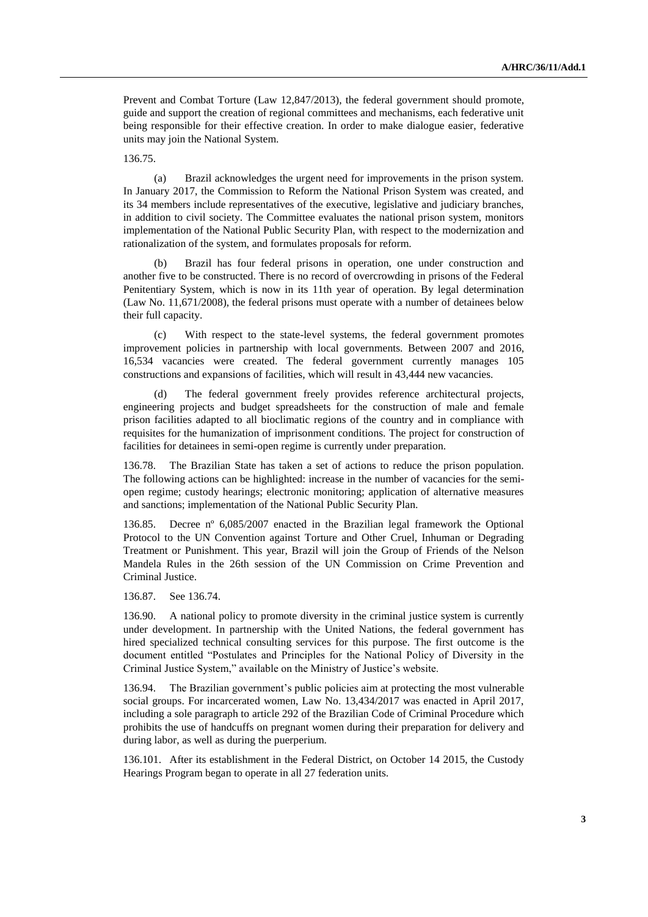Prevent and Combat Torture (Law 12,847/2013), the federal government should promote, guide and support the creation of regional committees and mechanisms, each federative unit being responsible for their effective creation. In order to make dialogue easier, federative units may join the National System.

136.75.

(a) Brazil acknowledges the urgent need for improvements in the prison system. In January 2017, the Commission to Reform the National Prison System was created, and its 34 members include representatives of the executive, legislative and judiciary branches, in addition to civil society. The Committee evaluates the national prison system, monitors implementation of the National Public Security Plan, with respect to the modernization and rationalization of the system, and formulates proposals for reform.

(b) Brazil has four federal prisons in operation, one under construction and another five to be constructed. There is no record of overcrowding in prisons of the Federal Penitentiary System, which is now in its 11th year of operation. By legal determination (Law No. 11,671/2008), the federal prisons must operate with a number of detainees below their full capacity.

(c) With respect to the state-level systems, the federal government promotes improvement policies in partnership with local governments. Between 2007 and 2016, 16,534 vacancies were created. The federal government currently manages 105 constructions and expansions of facilities, which will result in 43,444 new vacancies.

(d) The federal government freely provides reference architectural projects, engineering projects and budget spreadsheets for the construction of male and female prison facilities adapted to all bioclimatic regions of the country and in compliance with requisites for the humanization of imprisonment conditions. The project for construction of facilities for detainees in semi-open regime is currently under preparation.

136.78. The Brazilian State has taken a set of actions to reduce the prison population. The following actions can be highlighted: increase in the number of vacancies for the semiopen regime; custody hearings; electronic monitoring; application of alternative measures and sanctions; implementation of the National Public Security Plan.

136.85. Decree nº 6,085/2007 enacted in the Brazilian legal framework the Optional Protocol to the UN Convention against Torture and Other Cruel, Inhuman or Degrading Treatment or Punishment. This year, Brazil will join the Group of Friends of the Nelson Mandela Rules in the 26th session of the UN Commission on Crime Prevention and Criminal Justice.

136.87. See 136.74.

136.90. A national policy to promote diversity in the criminal justice system is currently under development. In partnership with the United Nations, the federal government has hired specialized technical consulting services for this purpose. The first outcome is the document entitled "Postulates and Principles for the National Policy of Diversity in the Criminal Justice System," available on the Ministry of Justice's website.

136.94. The Brazilian government's public policies aim at protecting the most vulnerable social groups. For incarcerated women, Law No. 13,434/2017 was enacted in April 2017, including a sole paragraph to article 292 of the Brazilian Code of Criminal Procedure which prohibits the use of handcuffs on pregnant women during their preparation for delivery and during labor, as well as during the puerperium.

136.101. After its establishment in the Federal District, on October 14 2015, the Custody Hearings Program began to operate in all 27 federation units.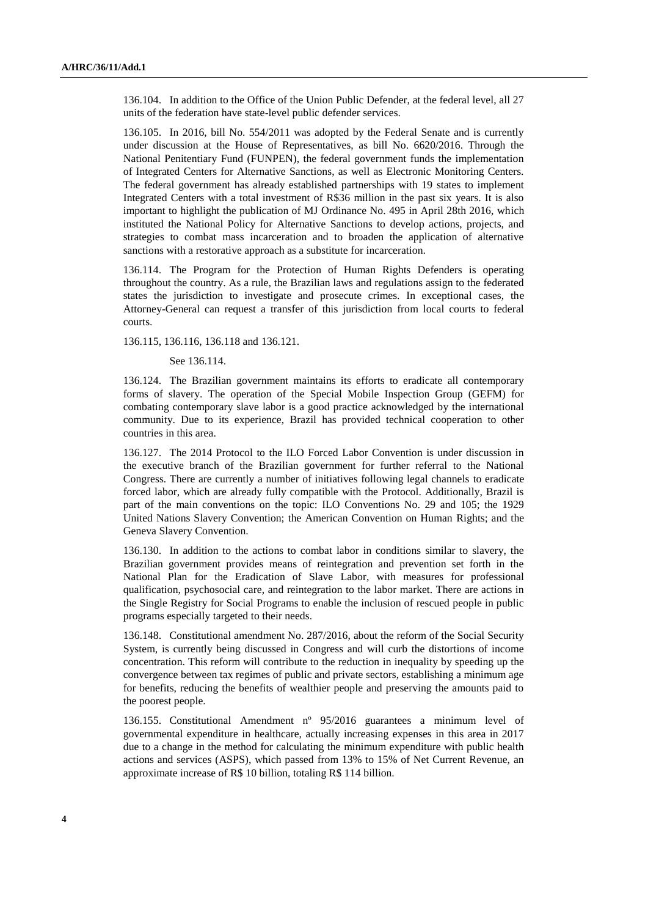136.104. In addition to the Office of the Union Public Defender, at the federal level, all 27 units of the federation have state-level public defender services.

136.105. In 2016, bill No. 554/2011 was adopted by the Federal Senate and is currently under discussion at the House of Representatives, as bill No. 6620/2016. Through the National Penitentiary Fund (FUNPEN), the federal government funds the implementation of Integrated Centers for Alternative Sanctions, as well as Electronic Monitoring Centers. The federal government has already established partnerships with 19 states to implement Integrated Centers with a total investment of R\$36 million in the past six years. It is also important to highlight the publication of MJ Ordinance No. 495 in April 28th 2016, which instituted the National Policy for Alternative Sanctions to develop actions, projects, and strategies to combat mass incarceration and to broaden the application of alternative sanctions with a restorative approach as a substitute for incarceration.

136.114. The Program for the Protection of Human Rights Defenders is operating throughout the country. As a rule, the Brazilian laws and regulations assign to the federated states the jurisdiction to investigate and prosecute crimes. In exceptional cases, the Attorney-General can request a transfer of this jurisdiction from local courts to federal courts.

136.115, 136.116, 136.118 and 136.121.

See 136.114.

136.124. The Brazilian government maintains its efforts to eradicate all contemporary forms of slavery. The operation of the Special Mobile Inspection Group (GEFM) for combating contemporary slave labor is a good practice acknowledged by the international community. Due to its experience, Brazil has provided technical cooperation to other countries in this area.

136.127. The 2014 Protocol to the ILO Forced Labor Convention is under discussion in the executive branch of the Brazilian government for further referral to the National Congress. There are currently a number of initiatives following legal channels to eradicate forced labor, which are already fully compatible with the Protocol. Additionally, Brazil is part of the main conventions on the topic: ILO Conventions No. 29 and 105; the 1929 United Nations Slavery Convention; the American Convention on Human Rights; and the Geneva Slavery Convention.

136.130. In addition to the actions to combat labor in conditions similar to slavery, the Brazilian government provides means of reintegration and prevention set forth in the National Plan for the Eradication of Slave Labor, with measures for professional qualification, psychosocial care, and reintegration to the labor market. There are actions in the Single Registry for Social Programs to enable the inclusion of rescued people in public programs especially targeted to their needs.

136.148. Constitutional amendment No. 287/2016, about the reform of the Social Security System, is currently being discussed in Congress and will curb the distortions of income concentration. This reform will contribute to the reduction in inequality by speeding up the convergence between tax regimes of public and private sectors, establishing a minimum age for benefits, reducing the benefits of wealthier people and preserving the amounts paid to the poorest people.

136.155. Constitutional Amendment nº 95/2016 guarantees a minimum level of governmental expenditure in healthcare, actually increasing expenses in this area in 2017 due to a change in the method for calculating the minimum expenditure with public health actions and services (ASPS), which passed from 13% to 15% of Net Current Revenue, an approximate increase of R\$ 10 billion, totaling R\$ 114 billion.